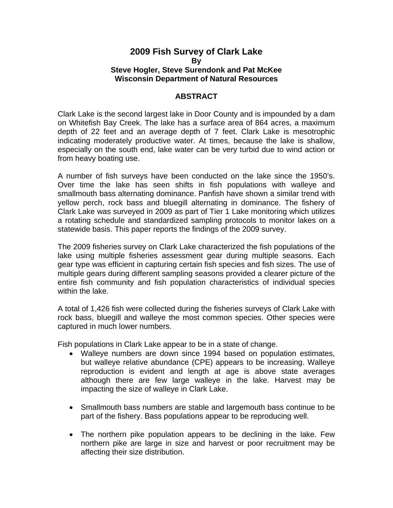## **2009 Fish Survey of Clark Lake By Steve Hogler, Steve Surendonk and Pat McKee Wisconsin Department of Natural Resources**

## **ABSTRACT**

Clark Lake is the second largest lake in Door County and is impounded by a dam on Whitefish Bay Creek. The lake has a surface area of 864 acres, a maximum depth of 22 feet and an average depth of 7 feet. Clark Lake is mesotrophic indicating moderately productive water. At times, because the lake is shallow, especially on the south end, lake water can be very turbid due to wind action or from heavy boating use.

A number of fish surveys have been conducted on the lake since the 1950's. Over time the lake has seen shifts in fish populations with walleye and smallmouth bass alternating dominance. Panfish have shown a similar trend with yellow perch, rock bass and bluegill alternating in dominance. The fishery of Clark Lake was surveyed in 2009 as part of Tier 1 Lake monitoring which utilizes a rotating schedule and standardized sampling protocols to monitor lakes on a statewide basis. This paper reports the findings of the 2009 survey.

The 2009 fisheries survey on Clark Lake characterized the fish populations of the lake using multiple fisheries assessment gear during multiple seasons. Each gear type was efficient in capturing certain fish species and fish sizes. The use of multiple gears during different sampling seasons provided a clearer picture of the entire fish community and fish population characteristics of individual species within the lake.

A total of 1,426 fish were collected during the fisheries surveys of Clark Lake with rock bass, bluegill and walleye the most common species. Other species were captured in much lower numbers.

Fish populations in Clark Lake appear to be in a state of change.

- Walleye numbers are down since 1994 based on population estimates, but walleye relative abundance (CPE) appears to be increasing. Walleye reproduction is evident and length at age is above state averages although there are few large walleye in the lake. Harvest may be impacting the size of walleye in Clark Lake.
- Smallmouth bass numbers are stable and largemouth bass continue to be part of the fishery. Bass populations appear to be reproducing well.
- The northern pike population appears to be declining in the lake. Few northern pike are large in size and harvest or poor recruitment may be affecting their size distribution.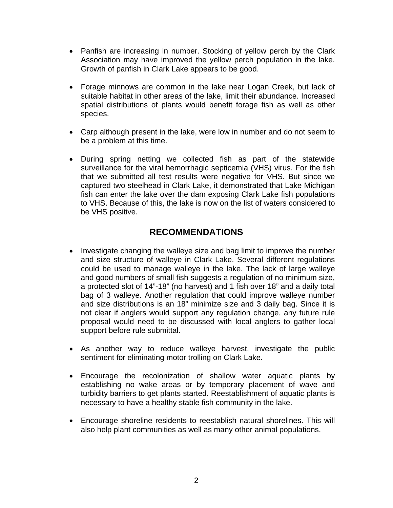- Panfish are increasing in number. Stocking of yellow perch by the Clark Association may have improved the yellow perch population in the lake. Growth of panfish in Clark Lake appears to be good.
- Forage minnows are common in the lake near Logan Creek, but lack of suitable habitat in other areas of the lake, limit their abundance. Increased spatial distributions of plants would benefit forage fish as well as other species.
- Carp although present in the lake, were low in number and do not seem to be a problem at this time.
- During spring netting we collected fish as part of the statewide surveillance for the viral hemorrhagic septicemia (VHS) virus. For the fish that we submitted all test results were negative for VHS. But since we captured two steelhead in Clark Lake, it demonstrated that Lake Michigan fish can enter the lake over the dam exposing Clark Lake fish populations to VHS. Because of this, the lake is now on the list of waters considered to be VHS positive.

# **RECOMMENDATIONS**

- Investigate changing the walleye size and bag limit to improve the number and size structure of walleye in Clark Lake. Several different regulations could be used to manage walleye in the lake. The lack of large walleye and good numbers of small fish suggests a regulation of no minimum size, a protected slot of 14"-18" (no harvest) and 1 fish over 18" and a daily total bag of 3 walleye. Another regulation that could improve walleye number and size distributions is an 18" minimize size and 3 daily bag. Since it is not clear if anglers would support any regulation change, any future rule proposal would need to be discussed with local anglers to gather local support before rule submittal.
- As another way to reduce walleye harvest, investigate the public sentiment for eliminating motor trolling on Clark Lake.
- Encourage the recolonization of shallow water aquatic plants by establishing no wake areas or by temporary placement of wave and turbidity barriers to get plants started. Reestablishment of aquatic plants is necessary to have a healthy stable fish community in the lake.
- Encourage shoreline residents to reestablish natural shorelines. This will also help plant communities as well as many other animal populations.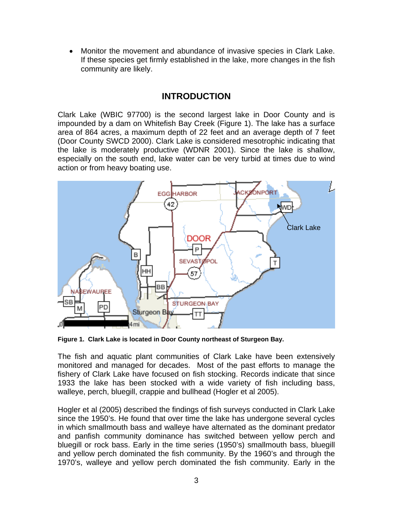• Monitor the movement and abundance of invasive species in Clark Lake. If these species get firmly established in the lake, more changes in the fish community are likely.

# **INTRODUCTION**

Clark Lake (WBIC 97700) is the second largest lake in Door County and is impounded by a dam on Whitefish Bay Creek (Figure 1). The lake has a surface area of 864 acres, a maximum depth of 22 feet and an average depth of 7 feet (Door County SWCD 2000). Clark Lake is considered mesotrophic indicating that the lake is moderately productive (WDNR 2001). Since the lake is shallow, especially on the south end, lake water can be very turbid at times due to wind action or from heavy boating use.



**Figure 1. Clark Lake is located in Door County northeast of Sturgeon Bay.** 

The fish and aquatic plant communities of Clark Lake have been extensively monitored and managed for decades. Most of the past efforts to manage the fishery of Clark Lake have focused on fish stocking. Records indicate that since 1933 the lake has been stocked with a wide variety of fish including bass, walleye, perch, bluegill, crappie and bullhead (Hogler et al 2005).

Hogler et al (2005) described the findings of fish surveys conducted in Clark Lake since the 1950's. He found that over time the lake has undergone several cycles in which smallmouth bass and walleye have alternated as the dominant predator and panfish community dominance has switched between yellow perch and bluegill or rock bass. Early in the time series (1950's) smallmouth bass, bluegill and yellow perch dominated the fish community. By the 1960's and through the 1970's, walleye and yellow perch dominated the fish community. Early in the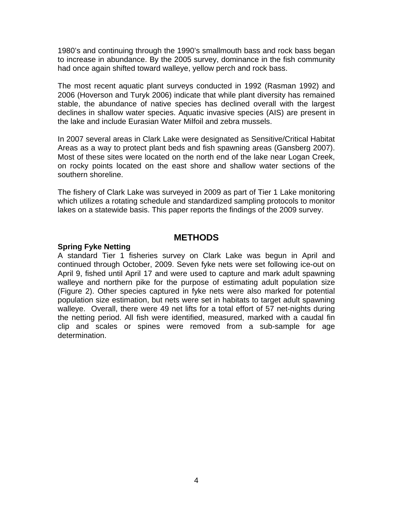1980's and continuing through the 1990's smallmouth bass and rock bass began to increase in abundance. By the 2005 survey, dominance in the fish community had once again shifted toward walleye, yellow perch and rock bass.

The most recent aquatic plant surveys conducted in 1992 (Rasman 1992) and 2006 (Hoverson and Turyk 2006) indicate that while plant diversity has remained stable, the abundance of native species has declined overall with the largest declines in shallow water species. Aquatic invasive species (AIS) are present in the lake and include Eurasian Water Milfoil and zebra mussels.

In 2007 several areas in Clark Lake were designated as Sensitive/Critical Habitat Areas as a way to protect plant beds and fish spawning areas (Gansberg 2007). Most of these sites were located on the north end of the lake near Logan Creek, on rocky points located on the east shore and shallow water sections of the southern shoreline.

The fishery of Clark Lake was surveyed in 2009 as part of Tier 1 Lake monitoring which utilizes a rotating schedule and standardized sampling protocols to monitor lakes on a statewide basis. This paper reports the findings of the 2009 survey.

## **METHODS**

### **Spring Fyke Netting**

A standard Tier 1 fisheries survey on Clark Lake was begun in April and continued through October, 2009. Seven fyke nets were set following ice-out on April 9, fished until April 17 and were used to capture and mark adult spawning walleye and northern pike for the purpose of estimating adult population size (Figure 2). Other species captured in fyke nets were also marked for potential population size estimation, but nets were set in habitats to target adult spawning walleye. Overall, there were 49 net lifts for a total effort of 57 net-nights during the netting period. All fish were identified, measured, marked with a caudal fin clip and scales or spines were removed from a sub-sample for age determination.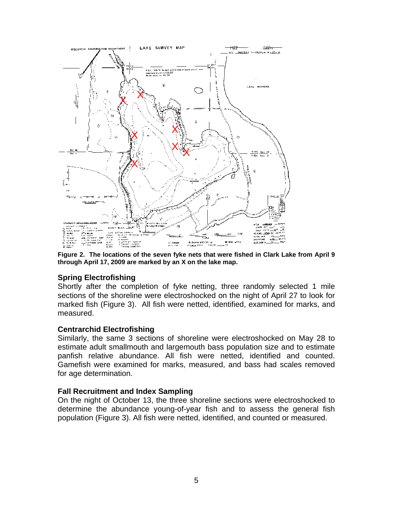

**Figure 2. The locations of the seven fyke nets that were fished in Clark Lake from April 9 through April 17, 2009 are marked by an X on the lake map.** 

## **Spring Electrofishing**

Shortly after the completion of fyke netting, three randomly selected 1 mile sections of the shoreline were electroshocked on the night of April 27 to look for marked fish (Figure 3). All fish were netted, identified, examined for marks, and measured.

## **Centrarchid Electrofishing**

Similarly, the same 3 sections of shoreline were electroshocked on May 28 to estimate adult smallmouth and largemouth bass population size and to estimate panfish relative abundance. All fish were netted, identified and counted. Gamefish were examined for marks, measured, and bass had scales removed for age determination.

## **Fall Recruitment and Index Sampling**

On the night of October 13, the three shoreline sections were electroshocked to determine the abundance young-of-year fish and to assess the general fish population (Figure 3). All fish were netted, identified, and counted or measured.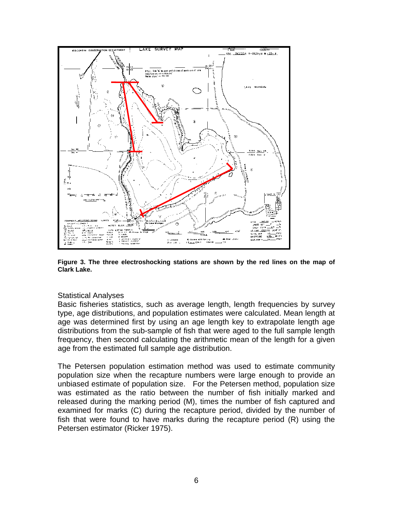

**Figure 3. The three electroshocking stations are shown by the red lines on the map of Clark Lake.** 

#### Statistical Analyses

Basic fisheries statistics, such as average length, length frequencies by survey type, age distributions, and population estimates were calculated. Mean length at age was determined first by using an age length key to extrapolate length age distributions from the sub-sample of fish that were aged to the full sample length frequency, then second calculating the arithmetic mean of the length for a given age from the estimated full sample age distribution.

The Petersen population estimation method was used to estimate community population size when the recapture numbers were large enough to provide an unbiased estimate of population size. For the Petersen method, population size was estimated as the ratio between the number of fish initially marked and released during the marking period (M), times the number of fish captured and examined for marks (C) during the recapture period, divided by the number of fish that were found to have marks during the recapture period (R) using the Petersen estimator (Ricker 1975).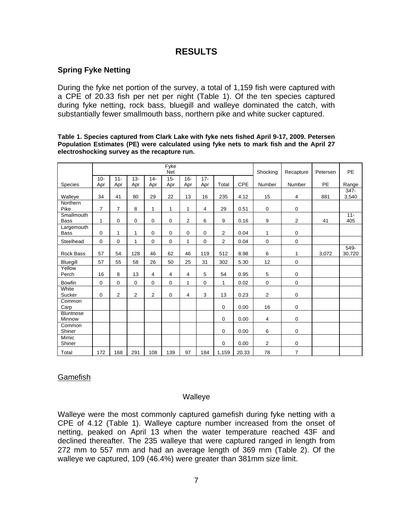# **RESULTS**

## **Spring Fyke Netting**

During the fyke net portion of the survey, a total of 1,159 fish were captured with a CPE of 20.33 fish per net per night (Table 1). Of the ten species captured during fyke netting, rock bass, bluegill and walleye dominated the catch, with substantially fewer smallmouth bass, northern pike and white sucker captured.

|                            |                |                |                |                | Fyke<br><b>Net</b> |                |               |                |            | Shocking       | Recapture      | Petersen  | PE               |
|----------------------------|----------------|----------------|----------------|----------------|--------------------|----------------|---------------|----------------|------------|----------------|----------------|-----------|------------------|
| <b>Species</b>             | $10 -$<br>Apr  | $11 -$<br>Apr  | $13 -$<br>Apr  | $14 -$<br>Apr  | $15 -$<br>Apr      | $16 -$<br>Apr  | $17 -$<br>Apr | Total          | <b>CPE</b> | Number         | Number         | <b>PE</b> | Range            |
| Walleye                    | 34             | 41             | 80             | 29             | 22                 | 13             | 16            | 235            | 4.12       | 15             | 4              | 881       | $347 -$<br>3,540 |
| Northern<br>Pike           | $\overline{7}$ | $\overline{7}$ | 8              | 1              | 1                  | 1              | 4             | 29             | 0.51       | $\mathbf 0$    | $\mathbf 0$    |           |                  |
| Smallmouth<br><b>Bass</b>  | $\mathbf{1}$   | 0              | $\Omega$       | $\Omega$       | 0                  | $\overline{2}$ | 6             | 9              | 0.16       | 9              | $\overline{2}$ | 41        | $11 -$<br>405    |
| Largemouth<br><b>Bass</b>  | $\mathbf 0$    | 1              | 1              | 0              | $\mathbf 0$        | 0              | 0             | $\overline{2}$ | 0.04       | 1              | 0              |           |                  |
| Steelhead                  | $\mathbf 0$    | $\mathbf 0$    | 1              | 0              | $\mathbf 0$        | 1              | $\mathbf 0$   | $\overline{2}$ | 0.04       | $\mathbf 0$    | $\mathbf 0$    |           |                  |
| <b>Rock Bass</b>           | 57             | 54             | 128            | 46             | 62                 | 46             | 119           | 512            | 8.98       | 6              | 1              | 3,072     | 549-<br>30,720   |
| Bluegill                   | 57             | 55             | 58             | 26             | 50                 | 25             | 31            | 302            | 5.30       | 12             | $\mathbf 0$    |           |                  |
| Yellow<br>Perch            | 16             | 8              | 13             | $\overline{4}$ | $\overline{4}$     | 4              | 5             | 54             | 0.95       | 5              | $\mathbf 0$    |           |                  |
| <b>Bowfin</b>              | $\mathbf 0$    | $\mathbf 0$    | $\Omega$       | $\Omega$       | $\Omega$           | 1              | $\mathbf 0$   | 1              | 0.02       | $\mathbf 0$    | $\mathbf 0$    |           |                  |
| White<br>Sucker            | $\Omega$       | $\overline{2}$ | $\overline{2}$ | 2              | $\mathbf 0$        | 4              | 3             | 13             | 0.23       | 2              | 0              |           |                  |
| Common<br>Carp             |                |                |                |                |                    |                |               | $\mathbf 0$    | 0.00       | 16             | 0              |           |                  |
| <b>Bluntnose</b><br>Minnow |                |                |                |                |                    |                |               | $\mathbf 0$    | 0.00       | 4              | $\mathbf 0$    |           |                  |
| Common<br>Shiner           |                |                |                |                |                    |                |               | 0              | 0.00       | 6              | 0              |           |                  |
| Mimic<br>Shiner            |                |                |                |                |                    |                |               | $\mathbf 0$    | 0.00       | $\overline{2}$ | $\mathbf 0$    |           |                  |
| Total                      | 172            | 168            | 291            | 108            | 139                | 97             | 184           | 1,159          | 20.33      | 78             | $\overline{7}$ |           |                  |

**Table 1. Species captured from Clark Lake with fyke nets fished April 9-17, 2009. Petersen Population Estimates (PE) were calculated using fyke nets to mark fish and the April 27 electroshocking survey as the recapture run.** 

## Gamefish

## Walleye

Walleye were the most commonly captured gamefish during fyke netting with a CPE of 4.12 (Table 1). Walleye capture number increased from the onset of netting, peaked on April 13 when the water temperature reached 43F and declined thereafter. The 235 walleye that were captured ranged in length from 272 mm to 557 mm and had an average length of 369 mm (Table 2). Of the walleye we captured, 109 (46.4%) were greater than 381mm size limit.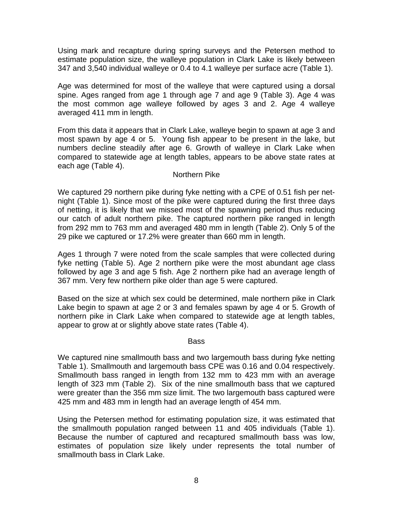Using mark and recapture during spring surveys and the Petersen method to estimate population size, the walleye population in Clark Lake is likely between 347 and 3,540 individual walleye or 0.4 to 4.1 walleye per surface acre (Table 1).

Age was determined for most of the walleye that were captured using a dorsal spine. Ages ranged from age 1 through age 7 and age 9 (Table 3). Age 4 was the most common age walleye followed by ages 3 and 2. Age 4 walleye averaged 411 mm in length.

From this data it appears that in Clark Lake, walleye begin to spawn at age 3 and most spawn by age 4 or 5. Young fish appear to be present in the lake, but numbers decline steadily after age 6. Growth of walleye in Clark Lake when compared to statewide age at length tables, appears to be above state rates at each age (Table 4).

### Northern Pike

We captured 29 northern pike during fyke netting with a CPE of 0.51 fish per netnight (Table 1). Since most of the pike were captured during the first three days of netting, it is likely that we missed most of the spawning period thus reducing our catch of adult northern pike. The captured northern pike ranged in length from 292 mm to 763 mm and averaged 480 mm in length (Table 2). Only 5 of the 29 pike we captured or 17.2% were greater than 660 mm in length.

Ages 1 through 7 were noted from the scale samples that were collected during fyke netting (Table 5). Age 2 northern pike were the most abundant age class followed by age 3 and age 5 fish. Age 2 northern pike had an average length of 367 mm. Very few northern pike older than age 5 were captured.

Based on the size at which sex could be determined, male northern pike in Clark Lake begin to spawn at age 2 or 3 and females spawn by age 4 or 5. Growth of northern pike in Clark Lake when compared to statewide age at length tables, appear to grow at or slightly above state rates (Table 4).

#### Bass

We captured nine smallmouth bass and two largemouth bass during fyke netting Table 1). Smallmouth and largemouth bass CPE was 0.16 and 0.04 respectively. Smallmouth bass ranged in length from 132 mm to 423 mm with an average length of 323 mm (Table 2). Six of the nine smallmouth bass that we captured were greater than the 356 mm size limit. The two largemouth bass captured were 425 mm and 483 mm in length had an average length of 454 mm.

Using the Petersen method for estimating population size, it was estimated that the smallmouth population ranged between 11 and 405 individuals (Table 1). Because the number of captured and recaptured smallmouth bass was low, estimates of population size likely under represents the total number of smallmouth bass in Clark Lake.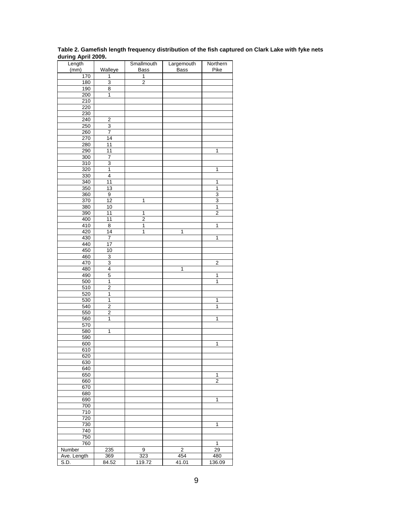| Length      |                         | Smallmouth     | Largemouth  | Northern                |
|-------------|-------------------------|----------------|-------------|-------------------------|
| (mm)        | Walleye                 | Bass           | <b>Bass</b> | Pike                    |
| 170         | 1                       | 1              |             |                         |
| 180         | $\overline{3}$          | $\overline{2}$ |             |                         |
| 190         | 8                       |                |             |                         |
| 200         | $\overline{1}$          |                |             |                         |
| 210         |                         |                |             |                         |
| 220<br>230  |                         |                |             |                         |
| 240         | 2                       |                |             |                         |
| 250         | 3                       |                |             |                         |
| 260         | 7                       |                |             |                         |
| 270         | 14                      |                |             |                         |
| 280         | 11                      |                |             |                         |
| 290         | $\overline{11}$         |                |             | $\mathbf{1}$            |
| 300         | 7                       |                |             |                         |
| 310         | $\overline{3}$          |                |             |                         |
| 320         | 1                       |                |             | 1                       |
| 330         | $\overline{4}$          |                |             |                         |
| 340         | $\overline{11}$         |                |             | 1                       |
| 350         | $\overline{13}$         |                |             | 1                       |
| 360         | 9                       |                |             | 3                       |
| 370         | 12                      | 1              |             | 3                       |
| 380         | 10                      |                |             | 1                       |
| 390         | 11                      | 1              |             | $\overline{2}$          |
| 400         | 11                      | 2              |             |                         |
| 410         | 8                       | $\overline{1}$ |             | 1                       |
| 420         | 14<br>7                 | 1              | 1           | 1                       |
| 430<br>440  | 17                      |                |             |                         |
| 450         | 10                      |                |             |                         |
| 460         | $\overline{3}$          |                |             |                         |
| 470         | $\overline{3}$          |                |             | $\overline{2}$          |
| 480         | $\overline{4}$          |                | 1           |                         |
| 490         | 5                       |                |             | 1                       |
| 500         | 1                       |                |             | 1                       |
| 510         | $\overline{\mathbf{c}}$ |                |             |                         |
| 520         | 1                       |                |             |                         |
| 530         | 1                       |                |             | 1                       |
| 540         | $\overline{2}$          |                |             | $\overline{1}$          |
| 550         | $\overline{\mathbf{c}}$ |                |             |                         |
| 560         | 1                       |                |             | 1                       |
| 570         |                         |                |             |                         |
| 580         | 1                       |                |             |                         |
| 590         |                         |                |             |                         |
| 600         |                         |                |             | 1                       |
| 610<br>620  |                         |                |             |                         |
| 630         |                         |                |             |                         |
| 640         |                         |                |             |                         |
| 650         |                         |                |             | 1                       |
| 660         |                         |                |             | $\overline{\mathbf{c}}$ |
| 670         |                         |                |             |                         |
| 680         |                         |                |             |                         |
| 690         |                         |                |             | 1                       |
| 700         |                         |                |             |                         |
| 710         |                         |                |             |                         |
| 720         |                         |                |             |                         |
| 730         |                         |                |             | 1                       |
| 740         |                         |                |             |                         |
| 750         |                         |                |             |                         |
| 760         |                         |                |             | 1                       |
| Number      | 235                     | 9              | 2           | 29                      |
| Ave. Length | 369                     | 323            | 454         | 480                     |
| S.D.        | 84.52                   | 119.72         | 41.01       | 136.09                  |

**Table 2. Gamefish length frequency distribution of the fish captured on Clark Lake with fyke nets during April 2009.**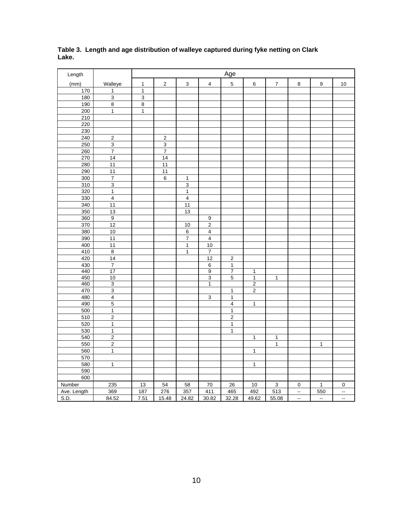| Length      |                         |                |                 |                |                           | Age                     |                |                  |                          |                          |    |
|-------------|-------------------------|----------------|-----------------|----------------|---------------------------|-------------------------|----------------|------------------|--------------------------|--------------------------|----|
| (mm)        | Walleye                 | $\mathbf{1}$   | $\mathbf 2$     | $\mathbf{3}$   | $\pmb{4}$                 | $\mathbf 5$             | 6              | $\boldsymbol{7}$ | $\bf 8$                  | $\boldsymbol{9}$         | 10 |
| 170         | $\mathbf 1$             | $\mathbf 1$    |                 |                |                           |                         |                |                  |                          |                          |    |
| 180         | $\overline{3}$          | $\overline{3}$ |                 |                |                           |                         |                |                  |                          |                          |    |
| 190         | $\overline{8}$          | 8              |                 |                |                           |                         |                |                  |                          |                          |    |
| 200         | $\mathbf 1$             | $\mathbf{1}$   |                 |                |                           |                         |                |                  |                          |                          |    |
| 210         |                         |                |                 |                |                           |                         |                |                  |                          |                          |    |
| 220         |                         |                |                 |                |                           |                         |                |                  |                          |                          |    |
| 230         |                         |                |                 |                |                           |                         |                |                  |                          |                          |    |
| 240         | $\mathbf 2$             |                | $\sqrt{2}$      |                |                           |                         |                |                  |                          |                          |    |
| 250         | $\overline{3}$          |                | $\overline{3}$  |                |                           |                         |                |                  |                          |                          |    |
| 260         | $\overline{7}$          |                | $\overline{7}$  |                |                           |                         |                |                  |                          |                          |    |
| 270         | 14                      |                | $\overline{14}$ |                |                           |                         |                |                  |                          |                          |    |
| 280         | 11                      |                | 11              |                |                           |                         |                |                  |                          |                          |    |
| 290         | 11                      |                | 11              |                |                           |                         |                |                  |                          |                          |    |
| 300         | $\overline{7}$          |                | 6               | $\mathbf{1}$   |                           |                         |                |                  |                          |                          |    |
| 310         | 3                       |                |                 | $\mathsf 3$    |                           |                         |                |                  |                          |                          |    |
| 320         | $\mathbf{1}$            |                |                 | $\mathbf{1}$   |                           |                         |                |                  |                          |                          |    |
| 330         | $\overline{\mathbf{4}}$ |                |                 | $\pmb{4}$      |                           |                         |                |                  |                          |                          |    |
| 340         | 11                      |                |                 | 11             |                           |                         |                |                  |                          |                          |    |
| 350         | 13                      |                |                 | 13             |                           |                         |                |                  |                          |                          |    |
| 360         | $\overline{9}$          |                |                 |                | $\boldsymbol{9}$          |                         |                |                  |                          |                          |    |
| 370         | 12                      |                |                 | 10             | $\boldsymbol{2}$          |                         |                |                  |                          |                          |    |
| 380         | 10                      |                |                 | $6\phantom{a}$ | $\overline{4}$            |                         |                |                  |                          |                          |    |
| 390         | 11                      |                |                 | $\overline{7}$ | $\overline{\mathbf{4}}$   |                         |                |                  |                          |                          |    |
| 400         | 11                      |                |                 | $\mathbf{1}$   | $10$                      |                         |                |                  |                          |                          |    |
| 410         | $\bf8$                  |                |                 | $\mathbf{1}$   | $\boldsymbol{7}$          |                         |                |                  |                          |                          |    |
| 420         | 14                      |                |                 |                | 12                        | $\overline{2}$          |                |                  |                          |                          |    |
| 430         | $\overline{7}$          |                |                 |                | 6                         | $\mathbf{1}$            |                |                  |                          |                          |    |
| 440         | 17                      |                |                 |                | 9                         | 7                       | $\mathbf 1$    |                  |                          |                          |    |
| 450         | 10                      |                |                 |                | $\overline{3}$            | $\overline{5}$          | $\overline{1}$ | $\overline{1}$   |                          |                          |    |
| 460         | $\overline{3}$          |                |                 |                | $\overline{1}$            |                         | $\overline{2}$ |                  |                          |                          |    |
| 470         | $\overline{3}$          |                |                 |                |                           | $\overline{1}$          | $\overline{c}$ |                  |                          |                          |    |
| 480         | $\overline{\mathbf{4}}$ |                |                 |                | $\ensuremath{\mathsf{3}}$ | $\mathbf 1$             |                |                  |                          |                          |    |
| 490         | $\overline{5}$          |                |                 |                |                           | $\overline{\mathbf{4}}$ | $\mathbf{1}$   |                  |                          |                          |    |
| 500         | $\mathbf 1$             |                |                 |                |                           | $\mathbf 1$             |                |                  |                          |                          |    |
| 510         | $\overline{2}$          |                |                 |                |                           | $\overline{2}$          |                |                  |                          |                          |    |
| 520         | $\mathbf{1}$            |                |                 |                |                           | $\mathbf{1}$            |                |                  |                          |                          |    |
| 530         | $\mathbf{1}$            |                |                 |                |                           | $\mathbf{1}$            |                |                  |                          |                          |    |
| 540         | $\overline{2}$          |                |                 |                |                           |                         | 1              | $\mathbf{1}$     |                          |                          |    |
| 550         | $\overline{2}$          |                |                 |                |                           |                         |                | $\mathbf{1}$     |                          | $\mathbf{1}$             |    |
| 560         | $\mathbf{1}$            |                |                 |                |                           |                         | $\mathbf{1}$   |                  |                          |                          |    |
| 570         |                         |                |                 |                |                           |                         |                |                  |                          |                          |    |
| 580         | $\mathbf{1}$            |                |                 |                |                           |                         | $\mathbf{1}$   |                  |                          |                          |    |
| 590         |                         |                |                 |                |                           |                         |                |                  |                          |                          |    |
| 600         |                         |                |                 |                |                           |                         |                |                  |                          |                          |    |
| Number      | 235                     | 13             | 54              | 58             | 70                        | 26                      | 10             | $\mathbf{3}$     | $\mathbf 0$              | $\mathbf{1}$             | 0  |
| Ave. Length | 369                     | 187            | 276             | 357            | 411                       | 465                     | 492            | 513              | $\overline{\phantom{a}}$ | 550                      | 4  |
| S.D.        | 84.52                   | 7.51           | 15.48           | 24.82          | 30.82                     | 32.28                   | 49.62          | 55.08            | $\overline{\phantom{a}}$ | $\overline{\phantom{a}}$ | ۰. |

**Table 3. Length and age distribution of walleye captured during fyke netting on Clark Lake.**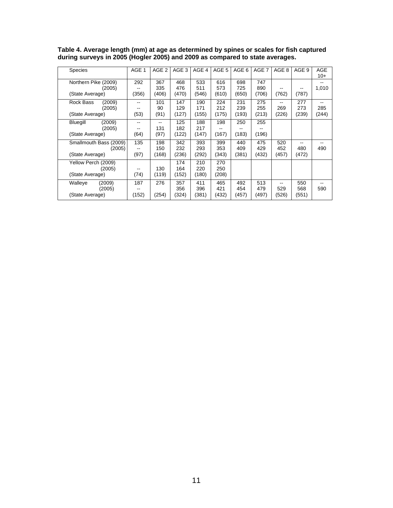| <b>Species</b>                                      | AGE 1             | AGE <sub>2</sub>    | AGE 3               | AGE 4               | AGE 5               | AGE 6               | AGE 7               | AGE 8               | AGE 9               | <b>AGE</b><br>$10+$               |
|-----------------------------------------------------|-------------------|---------------------|---------------------|---------------------|---------------------|---------------------|---------------------|---------------------|---------------------|-----------------------------------|
| Northern Pike (2009)<br>(2005)<br>(State Average)   | 292<br>(356)      | 367<br>335<br>(406) | 468<br>476<br>(470) | 533<br>511<br>(546) | 616<br>573<br>(610) | 698<br>725<br>(650) | 747<br>890<br>(706) | (762)               | --<br>(787)         | 1,010                             |
| Rock Bass<br>(2009)<br>(2005)<br>(State Average)    | --<br>(53)        | 101<br>90<br>(91)   | 147<br>129<br>(127) | 190<br>171<br>(155) | 224<br>212<br>(175) | 231<br>239<br>(193) | 275<br>255<br>(213) | --<br>269<br>(226)  | 277<br>273<br>(239) | $\qquad \qquad -$<br>285<br>(244) |
| (2009)<br>Bluegill<br>(2005)<br>(State Average)     | --<br>(64)        | 131<br>(97)         | 125<br>182<br>(122) | 188<br>217<br>(147) | 198<br>(167)        | 250<br>(183)        | 255<br>(196)        |                     |                     |                                   |
| Smallmouth Bass (2009)<br>(2005)<br>(State Average) | 135<br>--<br>(97) | 198<br>150<br>(168) | 342<br>232<br>(236) | 393<br>293<br>(292) | 399<br>353<br>(343) | 440<br>409<br>(381) | 475<br>429<br>(432) | 520<br>452<br>(457) | --<br>480<br>(472)  | 490                               |
| Yellow Perch (2009)<br>(2005)<br>(State Average)    | (74)              | 130<br>(119)        | 174<br>164<br>(152) | 210<br>220<br>(180) | 270<br>250<br>(208) |                     |                     |                     |                     |                                   |
| Walleye<br>(2009)<br>(2005)<br>(State Average)      | 187<br>(152)      | 276<br>(254)        | 357<br>356<br>(324) | 411<br>396<br>(381) | 465<br>421<br>(432) | 492<br>454<br>(457) | 513<br>479<br>(497) | 529<br>(526)        | 550<br>568<br>(551) | 590                               |

**Table 4. Average length (mm) at age as determined by spines or scales for fish captured during surveys in 2005 (Hogler 2005) and 2009 as compared to state averages.**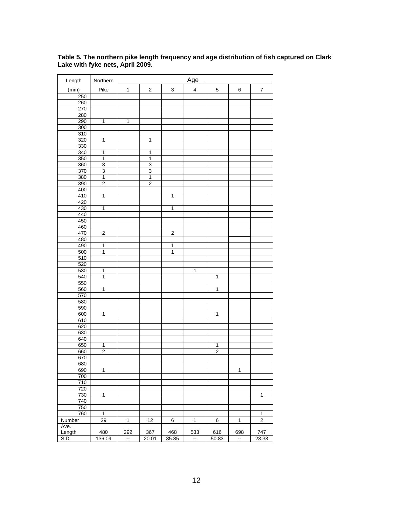| Length         | Northern                |                          |                         |                           | Age                     |                |                         |                  |
|----------------|-------------------------|--------------------------|-------------------------|---------------------------|-------------------------|----------------|-------------------------|------------------|
| (mm)           | Pike                    | $\mathbf{1}$             | $\overline{\mathbf{c}}$ | $\ensuremath{\mathsf{3}}$ | $\overline{\mathbf{4}}$ | $\mathbf 5$    | 6                       | $\boldsymbol{7}$ |
| 250            |                         |                          |                         |                           |                         |                |                         |                  |
| 260            |                         |                          |                         |                           |                         |                |                         |                  |
| 270            |                         |                          |                         |                           |                         |                |                         |                  |
| 280            |                         |                          |                         |                           |                         |                |                         |                  |
| 290            | $\mathbf{1}$            | 1                        |                         |                           |                         |                |                         |                  |
| 300            |                         |                          |                         |                           |                         |                |                         |                  |
| 310            |                         |                          |                         |                           |                         |                |                         |                  |
| 320            | $\overline{1}$          |                          | $\mathbf 1$             |                           |                         |                |                         |                  |
| 330            |                         |                          |                         |                           |                         |                |                         |                  |
| 340            | $\overline{1}$          |                          | 1                       |                           |                         |                |                         |                  |
| 350            | $\overline{1}$          |                          | $\overline{1}$          |                           |                         |                |                         |                  |
| 360            | $\overline{3}$          |                          | $\overline{3}$          |                           |                         |                |                         |                  |
| 370            | 3                       |                          | 3                       |                           |                         |                |                         |                  |
| 380            | $\overline{1}$          |                          | $\mathbf 1$             |                           |                         |                |                         |                  |
| 390            | $\overline{2}$          |                          | $\overline{2}$          |                           |                         |                |                         |                  |
| 400            |                         |                          |                         |                           |                         |                |                         |                  |
| 410            | 1                       |                          |                         | 1                         |                         |                |                         |                  |
| 420            |                         |                          |                         |                           |                         |                |                         |                  |
| 430            | $\overline{1}$          |                          |                         | $\mathbf 1$               |                         |                |                         |                  |
| 440            |                         |                          |                         |                           |                         |                |                         |                  |
| 450            |                         |                          |                         |                           |                         |                |                         |                  |
| 460            |                         |                          |                         |                           |                         |                |                         |                  |
| 470            | $\overline{\mathbf{2}}$ |                          |                         | $\overline{\mathbf{2}}$   |                         |                |                         |                  |
| 480            |                         |                          |                         |                           |                         |                |                         |                  |
| 490            | 1                       |                          |                         | 1                         |                         |                |                         |                  |
| 500            | $\mathbf{1}$            |                          |                         | 1                         |                         |                |                         |                  |
| 510            |                         |                          |                         |                           |                         |                |                         |                  |
| 520            |                         |                          |                         |                           |                         |                |                         |                  |
| 530            | 1                       |                          |                         |                           | 1                       |                |                         |                  |
| 540            | 1                       |                          |                         |                           |                         | $\mathbf{1}$   |                         |                  |
| 550            |                         |                          |                         |                           |                         |                |                         |                  |
| 560            | $\overline{1}$          |                          |                         |                           |                         | $\overline{1}$ |                         |                  |
| 570            |                         |                          |                         |                           |                         |                |                         |                  |
| 580            |                         |                          |                         |                           |                         |                |                         |                  |
| 590            |                         |                          |                         |                           |                         |                |                         |                  |
| 600            | $\overline{1}$          |                          |                         |                           |                         | $\overline{1}$ |                         |                  |
| 610            |                         |                          |                         |                           |                         |                |                         |                  |
| 620            |                         |                          |                         |                           |                         |                |                         |                  |
| 630            |                         |                          |                         |                           |                         |                |                         |                  |
| 640            |                         |                          |                         |                           |                         |                |                         |                  |
| 650            | $\mathbf{1}$            |                          |                         |                           |                         | 1              |                         |                  |
| 660            | $\overline{2}$          |                          |                         |                           |                         | $\overline{2}$ |                         |                  |
| 670            |                         |                          |                         |                           |                         |                |                         |                  |
| 680            |                         |                          |                         |                           |                         |                |                         |                  |
| 690            | $\mathbf{1}$            |                          |                         |                           |                         |                | $\overline{\mathbf{1}}$ |                  |
| 700            |                         |                          |                         |                           |                         |                |                         |                  |
| 710            |                         |                          |                         |                           |                         |                |                         |                  |
| 720            |                         |                          |                         |                           |                         |                |                         |                  |
| 730            | $\overline{1}$          |                          |                         |                           |                         |                |                         | $\mathbf 1$      |
| 740            |                         |                          |                         |                           |                         |                |                         |                  |
| 750            |                         |                          |                         |                           |                         |                |                         |                  |
| 760            | $\overline{1}$          |                          |                         |                           |                         |                |                         | $\overline{1}$   |
|                |                         |                          |                         |                           |                         |                |                         | $\overline{2}$   |
| Number         | $\overline{29}$         | $\mathbf{1}$             | 12                      | 6                         | $\mathbf{1}$            | 6              | $\mathbf{1}$            |                  |
| Ave.<br>Length | 480                     | 292                      | 367                     | 468                       | 533                     | 616            |                         | 747              |
|                |                         |                          |                         |                           |                         |                | 698<br>$\mathbb{Z}^2$   |                  |
| S.D.           | 136.09                  | $\overline{\phantom{a}}$ | 20.01                   | 35.85                     | $\mathbf{H}$            | 50.83          |                         | 23.33            |

**Table 5. The northern pike length frequency and age distribution of fish captured on Clark Lake with fyke nets, April 2009.**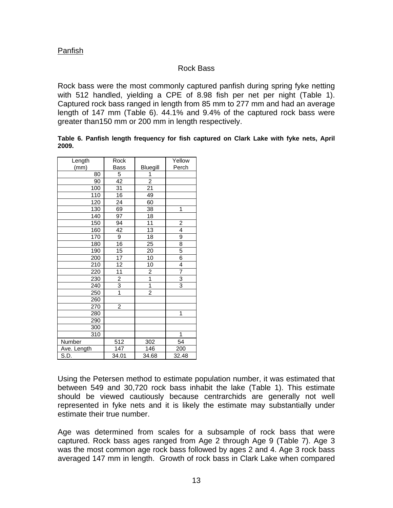## Panfish

## Rock Bass

Rock bass were the most commonly captured panfish during spring fyke netting with 512 handled, yielding a CPE of 8.98 fish per net per night (Table 1). Captured rock bass ranged in length from 85 mm to 277 mm and had an average length of 147 mm (Table 6). 44.1% and 9.4% of the captured rock bass were greater than150 mm or 200 mm in length respectively.

#### **Table 6. Panfish length frequency for fish captured on Clark Lake with fyke nets, April 2009.**

| Length      | Rock            |                 | Yellow         |
|-------------|-----------------|-----------------|----------------|
| (mm)        | Bass            | Bluegill        | Perch          |
| 80          | 5               | 1               |                |
| 90          | 42              | 2               |                |
| 100         | 31              | $\overline{21}$ |                |
| 110         | 16              | 49              |                |
| 120         | 24              | 60              |                |
| 130         | 69              | 38              | 1              |
| 140         | 97              | 18              |                |
| 150         | 94              | $\overline{11}$ | $\overline{2}$ |
| 160         | 42              | 13              | $\overline{4}$ |
| 170         | 9               | 18              | 9              |
| 180         | 16              | 25              | $\overline{8}$ |
| 190         | 15              | 20              | $\frac{5}{6}$  |
| 200         | $\overline{17}$ | 10              |                |
| 210         | $\overline{12}$ | $\overline{10}$ | 4              |
| 220         | 11              | $\overline{2}$  | 7              |
| 230         | $\frac{2}{3}$   | $\overline{1}$  | $\overline{3}$ |
| 240         |                 | $\overline{1}$  | $\overline{3}$ |
| 250         | $\overline{1}$  | $\overline{2}$  |                |
| 260         |                 |                 |                |
| 270         | $\overline{2}$  |                 |                |
| 280         |                 |                 | 1              |
| 290         |                 |                 |                |
| 300         |                 |                 |                |
| 310         |                 |                 | 1              |
| Number      | 512             | 302             | 54             |
| Ave. Length | 147             | 146             | 200            |
| S.D.        | 34.01           | 34.68           | 32.48          |

Using the Petersen method to estimate population number, it was estimated that between 549 and 30,720 rock bass inhabit the lake (Table 1). This estimate should be viewed cautiously because centrarchids are generally not well represented in fyke nets and it is likely the estimate may substantially under estimate their true number.

Age was determined from scales for a subsample of rock bass that were captured. Rock bass ages ranged from Age 2 through Age 9 (Table 7). Age 3 was the most common age rock bass followed by ages 2 and 4. Age 3 rock bass averaged 147 mm in length. Growth of rock bass in Clark Lake when compared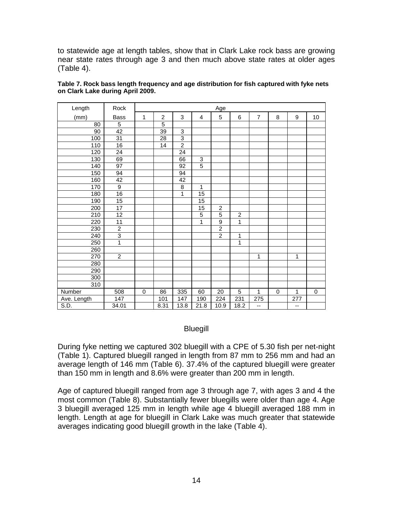to statewide age at length tables, show that in Clark Lake rock bass are growing near state rates through age 3 and then much above state rates at older ages (Table 4).

| Length      | Rock            |             |                |                           |                         | Age            |                |                |             |     |           |
|-------------|-----------------|-------------|----------------|---------------------------|-------------------------|----------------|----------------|----------------|-------------|-----|-----------|
| (mm)        | <b>Bass</b>     | 1           | $\overline{c}$ | $\mathbf{3}$              | $\overline{\mathbf{4}}$ | 5              | 6              | $\overline{7}$ | 8           | 9   | 10        |
| 80          | $\overline{5}$  |             | $\overline{5}$ |                           |                         |                |                |                |             |     |           |
| 90          | $\overline{42}$ |             | 39             | $\ensuremath{\mathsf{3}}$ |                         |                |                |                |             |     |           |
| 100         | $\overline{31}$ |             | 28             | $\overline{3}$            |                         |                |                |                |             |     |           |
| 110         | 16              |             | 14             | $\overline{2}$            |                         |                |                |                |             |     |           |
| 120         | 24              |             |                | $\overline{24}$           |                         |                |                |                |             |     |           |
| 130         | 69              |             |                | 66                        | 3                       |                |                |                |             |     |           |
| 140         | $\overline{97}$ |             |                | 92                        | $\overline{5}$          |                |                |                |             |     |           |
| 150         | 94              |             |                | 94                        |                         |                |                |                |             |     |           |
| 160         | 42              |             |                | 42                        |                         |                |                |                |             |     |           |
| 170         | $\overline{9}$  |             |                | 8                         | 1                       |                |                |                |             |     |           |
| 180         | 16              |             |                | 1                         | $\overline{15}$         |                |                |                |             |     |           |
| 190         | 15              |             |                |                           | $\overline{15}$         |                |                |                |             |     |           |
| 200         | 17              |             |                |                           | 15                      | $\overline{c}$ |                |                |             |     |           |
| 210         | $\overline{12}$ |             |                |                           | $\overline{5}$          | $\overline{5}$ | $\overline{2}$ |                |             |     |           |
| 220         | 11              |             |                |                           | 1                       | $\overline{9}$ | 1              |                |             |     |           |
| 230         | $\overline{2}$  |             |                |                           |                         | $\overline{2}$ |                |                |             |     |           |
| 240         | $\overline{3}$  |             |                |                           |                         | $\overline{2}$ | 1              |                |             |     |           |
| 250         | $\overline{1}$  |             |                |                           |                         |                | 1              |                |             |     |           |
| 260         |                 |             |                |                           |                         |                |                |                |             |     |           |
| 270         | $\overline{2}$  |             |                |                           |                         |                |                | 1              |             | 1   |           |
| 280         |                 |             |                |                           |                         |                |                |                |             |     |           |
| 290         |                 |             |                |                           |                         |                |                |                |             |     |           |
| 300         |                 |             |                |                           |                         |                |                |                |             |     |           |
| 310         |                 |             |                |                           |                         |                |                |                |             |     |           |
| Number      | 508             | $\mathsf 0$ | 86             | 335                       | 60                      | 20             | $\overline{5}$ | $\mathbf{1}$   | $\mathbf 0$ | 1   | $\pmb{0}$ |
| Ave. Length | 147             |             | 101            | 147                       | 190                     | 224            | 231            | 275            |             | 277 |           |
| S.D.        | 34.01           |             | 8.31           | 13.8                      | 21.8                    | 10.9           | 18.2           | --             |             | $-$ |           |

| Table 7. Rock bass length frequency and age distribution for fish captured with fyke nets |  |
|-------------------------------------------------------------------------------------------|--|
| on Clark Lake during April 2009.                                                          |  |

#### Bluegill

During fyke netting we captured 302 bluegill with a CPE of 5.30 fish per net-night (Table 1). Captured bluegill ranged in length from 87 mm to 256 mm and had an average length of 146 mm (Table 6). 37.4% of the captured bluegill were greater than 150 mm in length and 8.6% were greater than 200 mm in length.

Age of captured bluegill ranged from age 3 through age 7, with ages 3 and 4 the most common (Table 8). Substantially fewer bluegills were older than age 4. Age 3 bluegill averaged 125 mm in length while age 4 bluegill averaged 188 mm in length. Length at age for bluegill in Clark Lake was much greater that statewide averages indicating good bluegill growth in the lake (Table 4).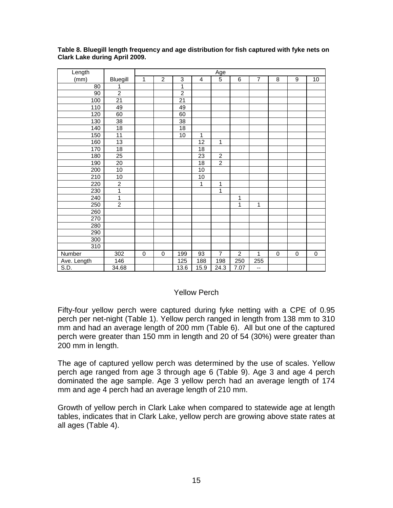| Length           |                  |              |                |                 |                 | Age            |                |                |             |             |           |
|------------------|------------------|--------------|----------------|-----------------|-----------------|----------------|----------------|----------------|-------------|-------------|-----------|
| (mm)             | Bluegill         | $\mathbf{1}$ | $\overline{c}$ | 3               | 4               | $\overline{5}$ | 6              | $\overline{7}$ | 8           | 9           | 10        |
| 80               | 1                |              |                | 1               |                 |                |                |                |             |             |           |
| 90               | $\overline{2}$   |              |                | $\overline{2}$  |                 |                |                |                |             |             |           |
| 100              | $\overline{21}$  |              |                | 21              |                 |                |                |                |             |             |           |
| 110              | 49               |              |                | 49              |                 |                |                |                |             |             |           |
| 120              | 60               |              |                | 60              |                 |                |                |                |             |             |           |
| 130              | 38               |              |                | 38              |                 |                |                |                |             |             |           |
| $\overline{140}$ | 18               |              |                | $\overline{18}$ |                 |                |                |                |             |             |           |
| 150              | $\overline{11}$  |              |                | $\overline{10}$ | 1               |                |                |                |             |             |           |
| 160              | 13               |              |                |                 | $\overline{12}$ | 1              |                |                |             |             |           |
| 170              | 18               |              |                |                 | 18              |                |                |                |             |             |           |
| 180              | $\overline{25}$  |              |                |                 | $\overline{23}$ | $\overline{c}$ |                |                |             |             |           |
| 190              | 20               |              |                |                 | 18              | $\overline{2}$ |                |                |             |             |           |
| 200              | $\overline{10}$  |              |                |                 | 10              |                |                |                |             |             |           |
| 210              | 10               |              |                |                 | 10              |                |                |                |             |             |           |
| 220              | $\overline{2}$   |              |                |                 | 1               | 1              |                |                |             |             |           |
| 230              | 1                |              |                |                 |                 | 1              |                |                |             |             |           |
| 240              | $\overline{1}$   |              |                |                 |                 |                | 1              |                |             |             |           |
| 250              | $\overline{2}$   |              |                |                 |                 |                | 1              | $\mathbf{1}$   |             |             |           |
| 260              |                  |              |                |                 |                 |                |                |                |             |             |           |
| 270              |                  |              |                |                 |                 |                |                |                |             |             |           |
| 280              |                  |              |                |                 |                 |                |                |                |             |             |           |
| 290              |                  |              |                |                 |                 |                |                |                |             |             |           |
| 300              |                  |              |                |                 |                 |                |                |                |             |             |           |
| 310              |                  |              |                |                 |                 |                |                |                |             |             |           |
| Number           | 302              | 0            | $\mathbf 0$    | 199             | $\overline{93}$ | $\overline{7}$ | $\overline{2}$ | 1              | $\mathbf 0$ | $\mathbf 0$ | $\pmb{0}$ |
| Ave. Length      | $\overline{146}$ |              |                | 125             | 188             | 198            | 250            | 255            |             |             |           |
| S.D.             | 34.68            |              |                | 13.6            | 15.9            | 24.3           | 7.07           | --             |             |             |           |

**Table 8. Bluegill length frequency and age distribution for fish captured with fyke nets on Clark Lake during April 2009.** 

## Yellow Perch

Fifty-four yellow perch were captured during fyke netting with a CPE of 0.95 perch per net-night (Table 1). Yellow perch ranged in length from 138 mm to 310 mm and had an average length of 200 mm (Table 6). All but one of the captured perch were greater than 150 mm in length and 20 of 54 (30%) were greater than 200 mm in length.

The age of captured yellow perch was determined by the use of scales. Yellow perch age ranged from age 3 through age 6 (Table 9). Age 3 and age 4 perch dominated the age sample. Age 3 yellow perch had an average length of 174 mm and age 4 perch had an average length of 210 mm.

Growth of yellow perch in Clark Lake when compared to statewide age at length tables, indicates that in Clark Lake, yellow perch are growing above state rates at all ages (Table 4).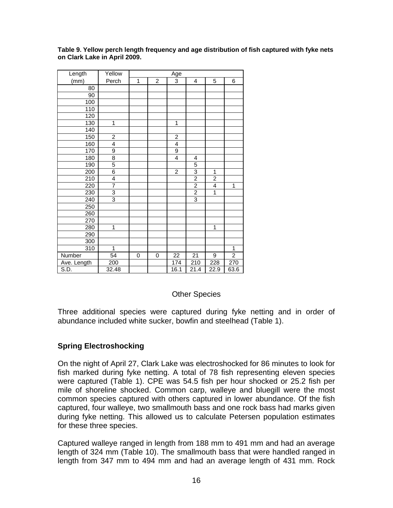| Length      | Yellow         | Age |                |                         |                |                         |                |  |  |
|-------------|----------------|-----|----------------|-------------------------|----------------|-------------------------|----------------|--|--|
| (mm)        | Perch          | 1   | $\overline{c}$ | $\overline{3}$          | 4              | 5                       | 6              |  |  |
| 80          |                |     |                |                         |                |                         |                |  |  |
| 90          |                |     |                |                         |                |                         |                |  |  |
| 100         |                |     |                |                         |                |                         |                |  |  |
| 110         |                |     |                |                         |                |                         |                |  |  |
| 120         |                |     |                |                         |                |                         |                |  |  |
| 130         | 1              |     |                | $\mathbf{1}$            |                |                         |                |  |  |
| 140         |                |     |                |                         |                |                         |                |  |  |
| 150         | $\overline{c}$ |     |                | $\overline{\mathbf{c}}$ |                |                         |                |  |  |
| 160         | $\overline{4}$ |     |                | $\overline{\mathbf{4}}$ |                |                         |                |  |  |
| 170         | 9              |     |                | 9                       |                |                         |                |  |  |
| 180         | $\overline{8}$ |     |                | $\overline{4}$          | 4              |                         |                |  |  |
| 190         | 5              |     |                |                         | 5              |                         |                |  |  |
| 200         | $\overline{6}$ |     |                | $\overline{c}$          | 3              | 1                       |                |  |  |
| 210         | $\overline{4}$ |     |                |                         | $\frac{2}{2}$  | $\overline{\mathbf{c}}$ |                |  |  |
| 220         | 7              |     |                |                         |                | $\overline{4}$          | 1              |  |  |
| 230         | 3              |     |                |                         | $\overline{2}$ | $\overline{1}$          |                |  |  |
| 240         | 3              |     |                |                         | 3              |                         |                |  |  |
| 250         |                |     |                |                         |                |                         |                |  |  |
| 260         |                |     |                |                         |                |                         |                |  |  |
| 270         |                |     |                |                         |                |                         |                |  |  |
| 280         | 1              |     |                |                         |                | 1                       |                |  |  |
| 290         |                |     |                |                         |                |                         |                |  |  |
| 300         |                |     |                |                         |                |                         |                |  |  |
| 310         | 1              |     |                |                         |                |                         | 1              |  |  |
| Number      | 54             | 0   | 0              | 22                      | 21             | 9                       | $\overline{2}$ |  |  |
| Ave. Length | 200            |     |                | 174                     | 210            | 228                     | 270            |  |  |
| S.D.        | 32.48          |     |                | 16.1                    | 21.4           | 22.9                    | 63.6           |  |  |

**Table 9. Yellow perch length frequency and age distribution of fish captured with fyke nets on Clark Lake in April 2009.**

## Other Species

Three additional species were captured during fyke netting and in order of abundance included white sucker, bowfin and steelhead (Table 1).

## **Spring Electroshocking**

On the night of April 27, Clark Lake was electroshocked for 86 minutes to look for fish marked during fyke netting. A total of 78 fish representing eleven species were captured (Table 1). CPE was 54.5 fish per hour shocked or 25.2 fish per mile of shoreline shocked. Common carp, walleye and bluegill were the most common species captured with others captured in lower abundance. Of the fish captured, four walleye, two smallmouth bass and one rock bass had marks given during fyke netting. This allowed us to calculate Petersen population estimates for these three species.

Captured walleye ranged in length from 188 mm to 491 mm and had an average length of 324 mm (Table 10). The smallmouth bass that were handled ranged in length from 347 mm to 494 mm and had an average length of 431 mm. Rock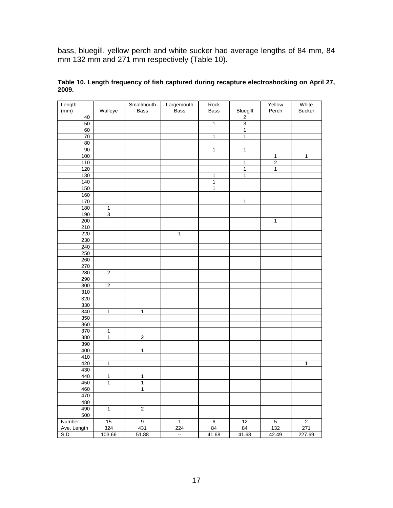bass, bluegill, yellow perch and white sucker had average lengths of 84 mm, 84 mm 132 mm and 271 mm respectively (Table 10).

| Length      |                         | Smallmouth     | Largemouth     | Rock           |                | Yellow         | White          |
|-------------|-------------------------|----------------|----------------|----------------|----------------|----------------|----------------|
| (mm)        | Walleye                 | Bass           | <b>Bass</b>    | Bass           | Bluegill       | Perch          | Sucker         |
| 40          |                         |                |                |                | $\overline{2}$ |                |                |
| $50\,$      |                         |                |                | $\overline{1}$ | $\overline{3}$ |                |                |
| 60          |                         |                |                |                | $\overline{1}$ |                |                |
| 70          |                         |                |                | $\overline{1}$ | $\overline{1}$ |                |                |
| 80          |                         |                |                |                |                |                |                |
| 90          |                         |                |                | $\overline{1}$ | $\overline{1}$ |                |                |
| 100         |                         |                |                |                |                | $\mathbf{1}$   | $\mathbf{1}$   |
| 110         |                         |                |                |                | $\overline{1}$ | $\overline{2}$ |                |
| 120         |                         |                |                |                | $\overline{1}$ | $\overline{1}$ |                |
| 130         |                         |                |                | $\overline{1}$ | $\overline{1}$ |                |                |
| 140         |                         |                |                | $\overline{1}$ |                |                |                |
| 150         |                         |                |                | $\overline{1}$ |                |                |                |
| 160         |                         |                |                |                |                |                |                |
| 170         |                         |                |                |                | $\overline{1}$ |                |                |
| 180         | $\mathbf{1}$            |                |                |                |                |                |                |
| 190         | $\overline{3}$          |                |                |                |                |                |                |
| 200         |                         |                |                |                |                | $\overline{1}$ |                |
| 210         |                         |                |                |                |                |                |                |
|             |                         |                |                |                |                |                |                |
| 220         |                         |                | $\mathbf{1}$   |                |                |                |                |
| 230         |                         |                |                |                |                |                |                |
| 240         |                         |                |                |                |                |                |                |
| 250         |                         |                |                |                |                |                |                |
| 260         |                         |                |                |                |                |                |                |
| 270         |                         |                |                |                |                |                |                |
| 280         | $\overline{2}$          |                |                |                |                |                |                |
| 290         |                         |                |                |                |                |                |                |
| 300         | $\overline{2}$          |                |                |                |                |                |                |
| 310         |                         |                |                |                |                |                |                |
| 320         |                         |                |                |                |                |                |                |
| 330         |                         |                |                |                |                |                |                |
| 340         | $\overline{1}$          | $\overline{1}$ |                |                |                |                |                |
| 350         |                         |                |                |                |                |                |                |
| 360         |                         |                |                |                |                |                |                |
| 370         | $\mathbf{1}$            |                |                |                |                |                |                |
| 380         | $\overline{1}$          | $\overline{2}$ |                |                |                |                |                |
| 390         |                         |                |                |                |                |                |                |
| 400         |                         | $\overline{1}$ |                |                |                |                |                |
| 410         |                         |                |                |                |                |                |                |
| 420         | $\overline{1}$          |                |                |                |                |                | $\overline{1}$ |
| 430         |                         |                |                |                |                |                |                |
| 440         | $\overline{\mathbf{1}}$ | $\overline{1}$ |                |                |                |                |                |
| 450         | $\overline{1}$          | $\overline{1}$ |                |                |                |                |                |
| 460         |                         | $\overline{1}$ |                |                |                |                |                |
| 470         |                         |                |                |                |                |                |                |
| 480         |                         |                |                |                |                |                |                |
| 490         | $\overline{1}$          | $\overline{2}$ |                |                |                |                |                |
| 500         |                         |                |                |                |                |                |                |
| Number      | 15                      | $\overline{9}$ | $\mathbf{1}$   | $\overline{6}$ | 12             | $\overline{5}$ | $\overline{c}$ |
| Ave. Length | 324                     | 431            | 224            | 84             | 84             | 132            | 271            |
| S.D.        | 103.66                  | 51.88          |                | 41.68          | 41.68          | 42.49          | 227.69         |
|             |                         |                | $\mathbb{Z}^2$ |                |                |                |                |

#### **Table 10. Length frequency of fish captured during recapture electroshocking on April 27, 2009.**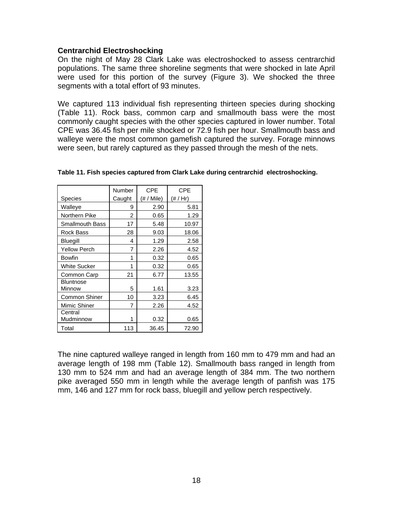### **Centrarchid Electroshocking**

On the night of May 28 Clark Lake was electroshocked to assess centrarchid populations. The same three shoreline segments that were shocked in late April were used for this portion of the survey (Figure 3). We shocked the three segments with a total effort of 93 minutes.

We captured 113 individual fish representing thirteen species during shocking (Table 11). Rock bass, common carp and smallmouth bass were the most commonly caught species with the other species captured in lower number. Total CPE was 36.45 fish per mile shocked or 72.9 fish per hour. Smallmouth bass and walleye were the most common gamefish captured the survey. Forage minnows were seen, but rarely captured as they passed through the mesh of the nets.

|                            | Number | <b>CPE</b> | <b>CPE</b> |
|----------------------------|--------|------------|------------|
| Species                    | Caught | (# / Mile) | (# / Hr)   |
| Walleye                    | 9      | 2.90       | 5.81       |
| Northern Pike              | 2      | 0.65       | 1.29       |
| <b>Smallmouth Bass</b>     | 17     | 5.48       | 10.97      |
| Rock Bass                  | 28     | 9.03       | 18.06      |
| <b>Bluegill</b>            | 4      | 1.29       | 2.58       |
| <b>Yellow Perch</b>        | 7      | 2.26       | 4.52       |
| Bowfin                     | 1      | 0.32       | 0.65       |
| White Sucker               | 1      | 0.32       | 0.65       |
| Common Carp                | 21     | 6.77       | 13.55      |
| <b>Bluntnose</b><br>Minnow | 5      | 1.61       | 3.23       |
| Common Shiner              | 10     | 3.23       | 6.45       |
| Mimic Shiner               | 7      | 2.26       | 4.52       |
| Central<br>Mudminnow       |        | 0.32       | 0.65       |
| Total                      | 113    | 36.45      | 72.90      |

**Table 11. Fish species captured from Clark Lake during centrarchid electroshocking.** 

The nine captured walleye ranged in length from 160 mm to 479 mm and had an average length of 198 mm (Table 12). Smallmouth bass ranged in length from 130 mm to 524 mm and had an average length of 384 mm. The two northern pike averaged 550 mm in length while the average length of panfish was 175 mm, 146 and 127 mm for rock bass, bluegill and yellow perch respectively.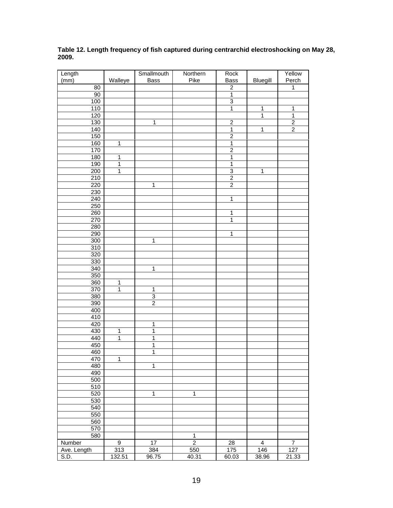| Table 12. Length frequency of fish captured during centrarchid electroshocking on May 2<br>2009. |    |         |             |                 |             |                 |        |  |  |  |
|--------------------------------------------------------------------------------------------------|----|---------|-------------|-----------------|-------------|-----------------|--------|--|--|--|
| Length                                                                                           |    |         | Smallmouth  | <b>Northern</b> | Rock        |                 | Yellow |  |  |  |
| (mm)                                                                                             |    | Walleve | <b>Bass</b> | Pike            | <b>Bass</b> | <b>Blueaill</b> | Perch  |  |  |  |
|                                                                                                  | 80 |         |             |                 |             |                 |        |  |  |  |
|                                                                                                  | 90 |         |             |                 |             |                 |        |  |  |  |

**Table 12. Length frequency of fish captured during centrarchid electroshocking on May 28,**   $\overline{2}$ 

| 80          |                |                |                | $\overline{2}$ |                         | 1                |
|-------------|----------------|----------------|----------------|----------------|-------------------------|------------------|
| 90          |                |                |                | $\overline{1}$ |                         |                  |
| 100         |                |                |                | $\overline{3}$ |                         |                  |
| 110         |                |                |                | $\overline{1}$ | 1                       | $\mathbf{1}$     |
| 120         |                |                |                |                | $\overline{1}$          | $\overline{1}$   |
| 130         |                | $\overline{1}$ |                |                |                         |                  |
|             |                |                |                | $\overline{2}$ |                         | $\overline{2}$   |
| 140         |                |                |                | $\overline{1}$ | $\overline{1}$          | $\overline{2}$   |
| 150         |                |                |                | $\overline{2}$ |                         |                  |
| 160         | $\mathbf{1}$   |                |                | $\overline{1}$ |                         |                  |
| 170         |                |                |                | $\overline{c}$ |                         |                  |
| 180         | $\mathbf{1}$   |                |                | $\mathbf{1}$   |                         |                  |
| 190         | $\overline{1}$ |                |                | $\overline{1}$ |                         |                  |
| 200         | $\mathbf{1}$   |                |                | $\overline{3}$ | 1                       |                  |
| 210         |                |                |                | $\overline{2}$ |                         |                  |
|             |                |                |                |                |                         |                  |
| 220         |                | $\overline{1}$ |                | $\overline{2}$ |                         |                  |
| 230         |                |                |                |                |                         |                  |
| 240         |                |                |                | $\mathbf{1}$   |                         |                  |
| 250         |                |                |                |                |                         |                  |
| 260         |                |                |                | $\mathbf 1$    |                         |                  |
| 270         |                |                |                | $\overline{1}$ |                         |                  |
| 280         |                |                |                |                |                         |                  |
|             |                |                |                |                |                         |                  |
| 290         |                |                |                | $\mathbf 1$    |                         |                  |
| 300         |                | $\mathbf 1$    |                |                |                         |                  |
| 310         |                |                |                |                |                         |                  |
| 320         |                |                |                |                |                         |                  |
| 330         |                |                |                |                |                         |                  |
| 340         |                | $\overline{1}$ |                |                |                         |                  |
| 350         |                |                |                |                |                         |                  |
| 360         | $\mathbf{1}$   |                |                |                |                         |                  |
|             |                |                |                |                |                         |                  |
| 370         | $\overline{1}$ | $\mathbf{1}$   |                |                |                         |                  |
| 380         |                | $\overline{3}$ |                |                |                         |                  |
| 390         |                | $\overline{2}$ |                |                |                         |                  |
| 400         |                |                |                |                |                         |                  |
| 410         |                |                |                |                |                         |                  |
| 420         |                | $\mathbf 1$    |                |                |                         |                  |
| 430         | 1              | $\overline{1}$ |                |                |                         |                  |
| 440         | $\overline{1}$ | $\overline{1}$ |                |                |                         |                  |
|             |                |                |                |                |                         |                  |
| 450         |                | $\overline{1}$ |                |                |                         |                  |
| 460         |                | $\overline{1}$ |                |                |                         |                  |
| 470         | 1              |                |                |                |                         |                  |
| 480         |                | $\overline{1}$ |                |                |                         |                  |
| 490         |                |                |                |                |                         |                  |
| 500         |                |                |                |                |                         |                  |
| 510         |                |                |                |                |                         |                  |
| 520         |                | $\mathbf{1}$   | $\mathbf{1}$   |                |                         |                  |
|             |                |                |                |                |                         |                  |
| 530         |                |                |                |                |                         |                  |
| 540         |                |                |                |                |                         |                  |
| 550         |                |                |                |                |                         |                  |
| 560         |                |                |                |                |                         |                  |
| 570         |                |                |                |                |                         |                  |
| 580         |                |                | $\mathbf{1}$   |                |                         |                  |
| Number      | 9              | 17             | $\overline{2}$ | 28             | $\overline{\mathbf{4}}$ | $\boldsymbol{7}$ |
|             | 313            | 384            | 550            | 175            | 146                     | $\frac{1}{127}$  |
| Ave. Length |                |                |                |                |                         |                  |
| S.D.        | 132.51         | 96.75          | 40.31          | 60.03          | 38.96                   | 21.33            |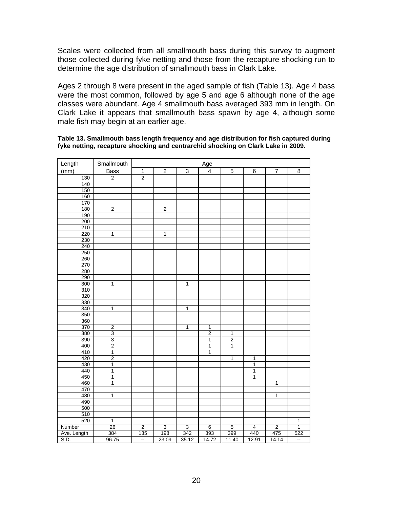Scales were collected from all smallmouth bass during this survey to augment those collected during fyke netting and those from the recapture shocking run to determine the age distribution of smallmouth bass in Clark Lake.

Ages 2 through 8 were present in the aged sample of fish (Table 13). Age 4 bass were the most common, followed by age 5 and age 6 although none of the age classes were abundant. Age 4 smallmouth bass averaged 393 mm in length. On Clark Lake it appears that smallmouth bass spawn by age 4, although some male fish may begin at an earlier age.

| Length      | Smallmouth     | Age            |                |                |                |                         |                |                |                |
|-------------|----------------|----------------|----------------|----------------|----------------|-------------------------|----------------|----------------|----------------|
| (mm)        | Bass           | $\mathbf{1}$   | $\overline{c}$ | $\mathbf{3}$   | $\overline{4}$ | $\mathbf 5$             | 6              | $\overline{7}$ | 8              |
| 130         | $\overline{2}$ | $\overline{2}$ |                |                |                |                         |                |                |                |
| 140         |                |                |                |                |                |                         |                |                |                |
| 150         |                |                |                |                |                |                         |                |                |                |
| 160         |                |                |                |                |                |                         |                |                |                |
| 170         |                |                |                |                |                |                         |                |                |                |
| 180         | $\overline{2}$ |                | $\overline{2}$ |                |                |                         |                |                |                |
| 190         |                |                |                |                |                |                         |                |                |                |
| 200         |                |                |                |                |                |                         |                |                |                |
| 210         |                |                |                |                |                |                         |                |                |                |
| 220         | 1              |                | 1              |                |                |                         |                |                |                |
| 230         |                |                |                |                |                |                         |                |                |                |
| 240         |                |                |                |                |                |                         |                |                |                |
| 250         |                |                |                |                |                |                         |                |                |                |
| 260         |                |                |                |                |                |                         |                |                |                |
| 270         |                |                |                |                |                |                         |                |                |                |
| 280         |                |                |                |                |                |                         |                |                |                |
| 290         |                |                |                |                |                |                         |                |                |                |
| 300         | 1              |                |                | 1              |                |                         |                |                |                |
| 310         |                |                |                |                |                |                         |                |                |                |
| 320         |                |                |                |                |                |                         |                |                |                |
| 330         |                |                |                |                |                |                         |                |                |                |
| 340         | 1              |                |                | 1              |                |                         |                |                |                |
| 350         |                |                |                |                |                |                         |                |                |                |
| 360         |                |                |                |                |                |                         |                |                |                |
| 370         | $\overline{2}$ |                |                | 1              | $\overline{1}$ |                         |                |                |                |
| 380         | $\overline{3}$ |                |                |                | $\overline{2}$ | 1                       |                |                |                |
| 390         | 3              |                |                |                | $\mathbf 1$    | $\overline{\mathbf{2}}$ |                |                |                |
| 400         | $\overline{2}$ |                |                |                | $\mathbf{1}$   | 1                       |                |                |                |
| 410         | $\overline{1}$ |                |                |                | $\overline{1}$ |                         |                |                |                |
| 420         | $\overline{2}$ |                |                |                |                | $\mathbf{1}$            | 1              |                |                |
| 430         | $\mathbf 1$    |                |                |                |                |                         | 1              |                |                |
| 440         | $\overline{1}$ |                |                |                |                |                         | $\mathbf{1}$   |                |                |
| 450         | 1              |                |                |                |                |                         | 1              |                |                |
| 460         | $\mathbf{1}$   |                |                |                |                |                         |                | $\mathbf{1}$   |                |
| 470         |                |                |                |                |                |                         |                |                |                |
| 480         | 1              |                |                |                |                |                         |                | 1              |                |
| 490         |                |                |                |                |                |                         |                |                |                |
| 500         |                |                |                |                |                |                         |                |                |                |
| 510         |                |                |                |                |                |                         |                |                |                |
| 520         | $\overline{1}$ |                |                |                |                |                         |                |                | 1              |
| Number      | 26             | $\overline{2}$ | $\overline{3}$ | $\overline{3}$ | $\overline{6}$ | $\overline{5}$          | $\overline{4}$ | $\overline{2}$ | $\overline{1}$ |
| Ave. Length | 384            | 135            | 198            | 342            | 393            | 399                     | 440            | 475            | 522            |
| S.D.        | 96.75          | Ξ.             | 23.09          | 35.12          | 14.72          | 11.40                   | 12.91          | 14.14          | ц.             |

#### **Table 13. Smallmouth bass length frequency and age distribution for fish captured during fyke netting, recapture shocking and centrarchid shocking on Clark Lake in 2009.**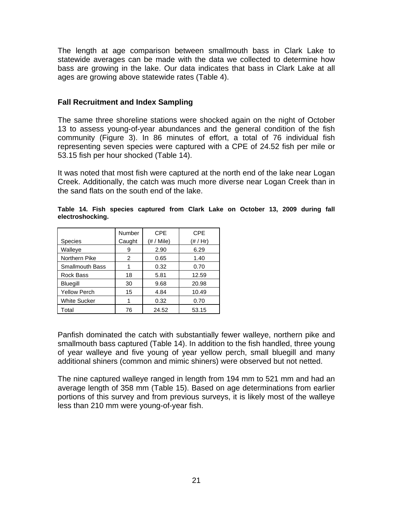The length at age comparison between smallmouth bass in Clark Lake to statewide averages can be made with the data we collected to determine how bass are growing in the lake. Our data indicates that bass in Clark Lake at all ages are growing above statewide rates (Table 4).

## **Fall Recruitment and Index Sampling**

The same three shoreline stations were shocked again on the night of October 13 to assess young-of-year abundances and the general condition of the fish community (Figure 3). In 86 minutes of effort, a total of 76 individual fish representing seven species were captured with a CPE of 24.52 fish per mile or 53.15 fish per hour shocked (Table 14).

It was noted that most fish were captured at the north end of the lake near Logan Creek. Additionally, the catch was much more diverse near Logan Creek than in the sand flats on the south end of the lake.

|                        | Number | <b>CPE</b> | <b>CPE</b> |
|------------------------|--------|------------|------------|
| <b>Species</b>         | Caught | (# / Mile) | (# / Hr)   |
| Walleye                | 9      | 2.90       | 6.29       |
| Northern Pike          | 2      | 0.65       | 1.40       |
| <b>Smallmouth Bass</b> |        | 0.32       | 0.70       |
| Rock Bass              | 18     | 5.81       | 12.59      |
| Bluegill               | 30     | 9.68       | 20.98      |
| Yellow Perch           | 15     | 4.84       | 10.49      |
| <b>White Sucker</b>    |        | 0.32       | 0.70       |
| Total                  | 76     | 24.52      | 53.15      |

**Table 14. Fish species captured from Clark Lake on October 13, 2009 during fall electroshocking.** 

Panfish dominated the catch with substantially fewer walleye, northern pike and smallmouth bass captured (Table 14). In addition to the fish handled, three young of year walleye and five young of year yellow perch, small bluegill and many additional shiners (common and mimic shiners) were observed but not netted.

The nine captured walleye ranged in length from 194 mm to 521 mm and had an average length of 358 mm (Table 15). Based on age determinations from earlier portions of this survey and from previous surveys, it is likely most of the walleye less than 210 mm were young-of-year fish.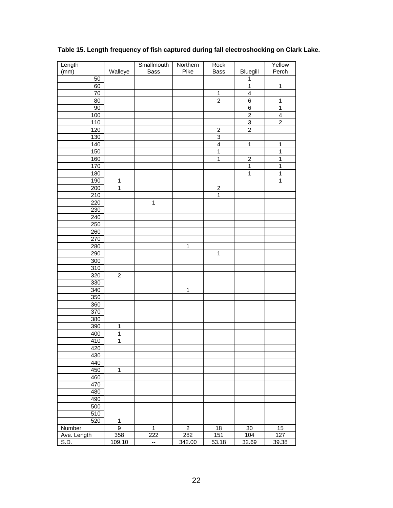| Length           |                  | Smallmouth   | Northern       | Rock                    |                         | Yellow           |
|------------------|------------------|--------------|----------------|-------------------------|-------------------------|------------------|
| (mm)             | Walleye          | Bass         | Pike           | Bass                    | Bluegill                | Perch            |
| $\overline{50}$  |                  |              |                |                         | $\mathbf{1}$            |                  |
| 60               |                  |              |                |                         | $\overline{1}$          | $\mathbf{1}$     |
| 70               |                  |              |                | $\mathbf{1}$            | $\overline{\mathbf{4}}$ |                  |
| 80               |                  |              |                | $\overline{c}$          | 6                       | $\mathbf 1$      |
| 90               |                  |              |                |                         | 6                       | $\mathbf 1$      |
| 100              |                  |              |                |                         | $\boldsymbol{2}$        | 4                |
| 110              |                  |              |                |                         | $\overline{3}$          | $\overline{c}$   |
|                  |                  |              |                | $\overline{c}$          | $\overline{2}$          |                  |
| 120              |                  |              |                | $\overline{3}$          |                         |                  |
| 130              |                  |              |                |                         |                         |                  |
| 140              |                  |              |                | $\overline{\mathbf{4}}$ | $\mathbf{1}$            | $\mathbf 1$      |
| 150              |                  |              |                | $\mathbf{1}$            |                         | 1                |
| 160              |                  |              |                | $\mathbf 1$             | $\overline{c}$          | 1                |
| 170              |                  |              |                |                         | $\mathbf 1$             | 1                |
| 180              |                  |              |                |                         | $\mathbf{1}$            | $\mathbf{1}$     |
| 190              | 1                |              |                |                         |                         | 1                |
| 200              | 1                |              |                | $\overline{\mathbf{c}}$ |                         |                  |
| 210              |                  |              |                | $\overline{1}$          |                         |                  |
| 220              |                  | 1            |                |                         |                         |                  |
| 230              |                  |              |                |                         |                         |                  |
| 240              |                  |              |                |                         |                         |                  |
| 250              |                  |              |                |                         |                         |                  |
| 260              |                  |              |                |                         |                         |                  |
| 270              |                  |              |                |                         |                         |                  |
|                  |                  |              |                |                         |                         |                  |
| 280              |                  |              | 1              |                         |                         |                  |
| 290              |                  |              |                | $\mathbf{1}$            |                         |                  |
| 300              |                  |              |                |                         |                         |                  |
| 310              |                  |              |                |                         |                         |                  |
| 320              | $\boldsymbol{2}$ |              |                |                         |                         |                  |
| $\overline{3}30$ |                  |              |                |                         |                         |                  |
| 340              |                  |              | $\mathbf{1}$   |                         |                         |                  |
| 350              |                  |              |                |                         |                         |                  |
| 360              |                  |              |                |                         |                         |                  |
| 370              |                  |              |                |                         |                         |                  |
| 380              |                  |              |                |                         |                         |                  |
| 390              | 1                |              |                |                         |                         |                  |
| 400              | 1                |              |                |                         |                         |                  |
| 410              | 1                |              |                |                         |                         |                  |
| 420              |                  |              |                |                         |                         |                  |
| 430              |                  |              |                |                         |                         |                  |
| 440              |                  |              |                |                         |                         |                  |
| 450              | $\mathbf 1$      |              |                |                         |                         |                  |
|                  |                  |              |                |                         |                         |                  |
| 460              |                  |              |                |                         |                         |                  |
| 470              |                  |              |                |                         |                         |                  |
| 480              |                  |              |                |                         |                         |                  |
| 490              |                  |              |                |                         |                         |                  |
| 500              |                  |              |                |                         |                         |                  |
| 510              |                  |              |                |                         |                         |                  |
| 520              | $\mathbf 1$      |              |                |                         |                         |                  |
| Number           | $\overline{9}$   | $\mathbf{1}$ | $\overline{2}$ | 18                      | $30\,$                  | 15               |
| Ave. Length      | 358              | 222          | 282            | 151                     | 104                     | $\overline{127}$ |
| S.D.             | 109.10           | --           | 342.00         | 53.18                   | 32.69                   | 39.38            |

## **Table 15. Length frequency of fish captured during fall electroshocking on Clark Lake.**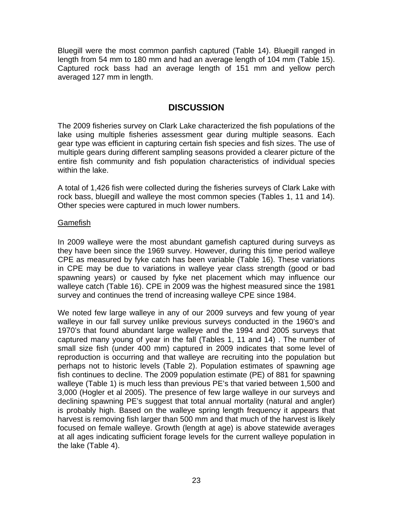Bluegill were the most common panfish captured (Table 14). Bluegill ranged in length from 54 mm to 180 mm and had an average length of 104 mm (Table 15). Captured rock bass had an average length of 151 mm and yellow perch averaged 127 mm in length.

## **DISCUSSION**

The 2009 fisheries survey on Clark Lake characterized the fish populations of the lake using multiple fisheries assessment gear during multiple seasons. Each gear type was efficient in capturing certain fish species and fish sizes. The use of multiple gears during different sampling seasons provided a clearer picture of the entire fish community and fish population characteristics of individual species within the lake.

A total of 1,426 fish were collected during the fisheries surveys of Clark Lake with rock bass, bluegill and walleye the most common species (Tables 1, 11 and 14). Other species were captured in much lower numbers.

### **Gamefish**

In 2009 walleye were the most abundant gamefish captured during surveys as they have been since the 1969 survey. However, during this time period walleye CPE as measured by fyke catch has been variable (Table 16). These variations in CPE may be due to variations in walleye year class strength (good or bad spawning years) or caused by fyke net placement which may influence our walleye catch (Table 16). CPE in 2009 was the highest measured since the 1981 survey and continues the trend of increasing walleye CPE since 1984.

We noted few large walleye in any of our 2009 surveys and few young of year walleye in our fall survey unlike previous surveys conducted in the 1960's and 1970's that found abundant large walleye and the 1994 and 2005 surveys that captured many young of year in the fall (Tables 1, 11 and 14) . The number of small size fish (under 400 mm) captured in 2009 indicates that some level of reproduction is occurring and that walleye are recruiting into the population but perhaps not to historic levels (Table 2). Population estimates of spawning age fish continues to decline. The 2009 population estimate (PE) of 881 for spawning walleye (Table 1) is much less than previous PE's that varied between 1,500 and 3,000 (Hogler et al 2005). The presence of few large walleye in our surveys and declining spawning PE's suggest that total annual mortality (natural and angler) is probably high. Based on the walleye spring length frequency it appears that harvest is removing fish larger than 500 mm and that much of the harvest is likely focused on female walleye. Growth (length at age) is above statewide averages at all ages indicating sufficient forage levels for the current walleye population in the lake (Table 4).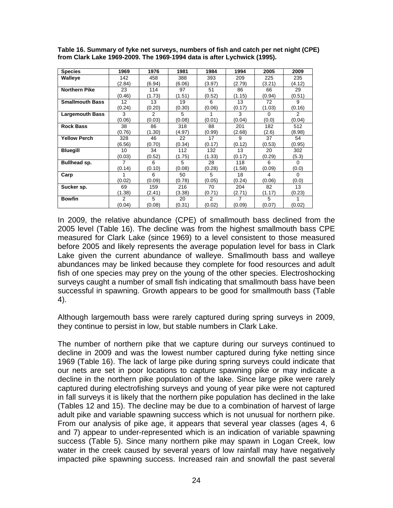| <b>Species</b>         | 1969          | 1976   | 1981   | 1984          | 1994   | 2005     | 2009           |
|------------------------|---------------|--------|--------|---------------|--------|----------|----------------|
| Walleye                | 142           | 458    | 388    | 393           | 209    | 225      | 235            |
|                        | (2.84)        | (6.94) | (6.06) | (3.97)        | (2.79) | (3.21)   | (4.12)         |
| <b>Northern Pike</b>   | 23            | 114    | 97     | 51            | 86     | 66       | 29             |
|                        | (0.46)        | (1.73) | (1.51) | (0.52)        | (1.15) | (0.94)   | (0.51)         |
| <b>Smallmouth Bass</b> | 12            | 13     | 19     | 6             | 13     | 72       | 9              |
|                        | (0.24)        | (0.20) | (0.30) | (0.06)        | (0.17) | (1.03)   | (0.16)         |
| <b>Largemouth Bass</b> | 3             | 2      | 5      |               | 3      | $\Omega$ | $\overline{2}$ |
|                        | (0.06)        | (0.03) | (0.08) | (0.01)        | (0.04) | (0.0)    | (0.04)         |
| <b>Rock Bass</b>       | 38            | 86     | 318    | 88            | 201    | 182      | 512            |
|                        | (0.76)        | (1.30) | (4.97) | (0.99)        | (2.68) | (2.6)    | (8.98)         |
| <b>Yellow Perch</b>    | 328           | 46     | 22     | 17            | 9      | 37       | 54             |
|                        | (6.56)        | (0.70) | (0.34) | (0.17)        | (0.12) | (0.53)   | (0.95)         |
| <b>Bluegill</b>        | 10            | 34     | 112    | 132           | 13     | 20       | 302            |
|                        | (0.03)        | (0.52) | (1.75) | (1.33)        | (0.17) | (0.29)   | (5.3)          |
| Bullhead sp.           |               | 6      | 5      | 28            | 118    | 6        | $\Omega$       |
|                        | (0.14)        | (0.10) | (0.08) | (0.28)        | (1.58) | (0.09)   | (0.0)          |
| Carp                   |               | 6      | 50     | 5             | 18     | 4        | 0              |
|                        | (0.02)        | (0.09) | (0.78) | (0.05)        | (0.24) | (0.06)   | (0.0)          |
| Sucker sp.             | 69            | 159    | 216    | 70            | 204    | 82       | 13             |
|                        | (1.38)        | (2.41) | (3.38) | (0.71)        | (2.71) | (1.17)   | (0.23)         |
| <b>Bowfin</b>          | $\mathcal{P}$ | 5      | 20     | $\mathcal{P}$ | 7      | 5        | 1              |
|                        | (0.04)        | (0.08) | (0.31) | (0.02)        | (0.09) | (0.07)   | (0.02)         |

**Table 16. Summary of fyke net surveys, numbers of fish and catch per net night (CPE) from Clark Lake 1969-2009. The 1969-1994 data is after Lychwick (1995).** 

In 2009, the relative abundance (CPE) of smallmouth bass declined from the 2005 level (Table 16). The decline was from the highest smallmouth bass CPE measured for Clark Lake (since 1969) to a level consistent to those measured before 2005 and likely represents the average population level for bass in Clark Lake given the current abundance of walleye. Smallmouth bass and walleye abundances may be linked because they complete for food resources and adult fish of one species may prey on the young of the other species. Electroshocking surveys caught a number of small fish indicating that smallmouth bass have been successful in spawning. Growth appears to be good for smallmouth bass (Table 4).

Although largemouth bass were rarely captured during spring surveys in 2009, they continue to persist in low, but stable numbers in Clark Lake.

The number of northern pike that we capture during our surveys continued to decline in 2009 and was the lowest number captured during fyke netting since 1969 (Table 16). The lack of large pike during spring surveys could indicate that our nets are set in poor locations to capture spawning pike or may indicate a decline in the northern pike population of the lake. Since large pike were rarely captured during electrofishing surveys and young of year pike were not captured in fall surveys it is likely that the northern pike population has declined in the lake (Tables 12 and 15). The decline may be due to a combination of harvest of large adult pike and variable spawning success which is not unusual for northern pike. From our analysis of pike age, it appears that several year classes (ages 4, 6 and 7) appear to under-represented which is an indication of variable spawning success (Table 5). Since many northern pike may spawn in Logan Creek, low water in the creek caused by several years of low rainfall may have negatively impacted pike spawning success. Increased rain and snowfall the past several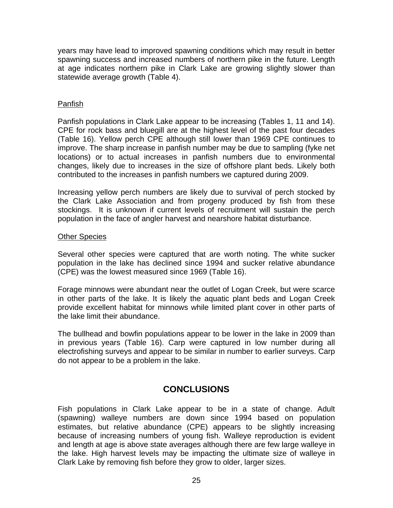years may have lead to improved spawning conditions which may result in better spawning success and increased numbers of northern pike in the future. Length at age indicates northern pike in Clark Lake are growing slightly slower than statewide average growth (Table 4).

## Panfish

Panfish populations in Clark Lake appear to be increasing (Tables 1, 11 and 14). CPE for rock bass and bluegill are at the highest level of the past four decades (Table 16). Yellow perch CPE although still lower than 1969 CPE continues to improve. The sharp increase in panfish number may be due to sampling (fyke net locations) or to actual increases in panfish numbers due to environmental changes, likely due to increases in the size of offshore plant beds. Likely both contributed to the increases in panfish numbers we captured during 2009.

Increasing yellow perch numbers are likely due to survival of perch stocked by the Clark Lake Association and from progeny produced by fish from these stockings. It is unknown if current levels of recruitment will sustain the perch population in the face of angler harvest and nearshore habitat disturbance.

### Other Species

Several other species were captured that are worth noting. The white sucker population in the lake has declined since 1994 and sucker relative abundance (CPE) was the lowest measured since 1969 (Table 16).

Forage minnows were abundant near the outlet of Logan Creek, but were scarce in other parts of the lake. It is likely the aquatic plant beds and Logan Creek provide excellent habitat for minnows while limited plant cover in other parts of the lake limit their abundance.

The bullhead and bowfin populations appear to be lower in the lake in 2009 than in previous years (Table 16). Carp were captured in low number during all electrofishing surveys and appear to be similar in number to earlier surveys. Carp do not appear to be a problem in the lake.

# **CONCLUSIONS**

Fish populations in Clark Lake appear to be in a state of change. Adult (spawning) walleye numbers are down since 1994 based on population estimates, but relative abundance (CPE) appears to be slightly increasing because of increasing numbers of young fish. Walleye reproduction is evident and length at age is above state averages although there are few large walleye in the lake. High harvest levels may be impacting the ultimate size of walleye in Clark Lake by removing fish before they grow to older, larger sizes.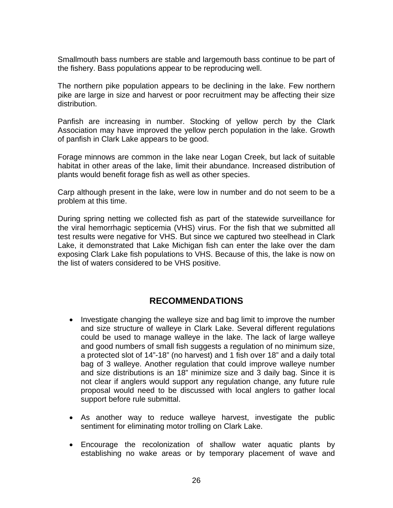Smallmouth bass numbers are stable and largemouth bass continue to be part of the fishery. Bass populations appear to be reproducing well.

The northern pike population appears to be declining in the lake. Few northern pike are large in size and harvest or poor recruitment may be affecting their size distribution.

Panfish are increasing in number. Stocking of yellow perch by the Clark Association may have improved the yellow perch population in the lake. Growth of panfish in Clark Lake appears to be good.

Forage minnows are common in the lake near Logan Creek, but lack of suitable habitat in other areas of the lake, limit their abundance. Increased distribution of plants would benefit forage fish as well as other species.

Carp although present in the lake, were low in number and do not seem to be a problem at this time.

During spring netting we collected fish as part of the statewide surveillance for the viral hemorrhagic septicemia (VHS) virus. For the fish that we submitted all test results were negative for VHS. But since we captured two steelhead in Clark Lake, it demonstrated that Lake Michigan fish can enter the lake over the dam exposing Clark Lake fish populations to VHS. Because of this, the lake is now on the list of waters considered to be VHS positive.

# **RECOMMENDATIONS**

- Investigate changing the walleye size and bag limit to improve the number and size structure of walleye in Clark Lake. Several different regulations could be used to manage walleye in the lake. The lack of large walleye and good numbers of small fish suggests a regulation of no minimum size, a protected slot of 14"-18" (no harvest) and 1 fish over 18" and a daily total bag of 3 walleye. Another regulation that could improve walleye number and size distributions is an 18" minimize size and 3 daily bag. Since it is not clear if anglers would support any regulation change, any future rule proposal would need to be discussed with local anglers to gather local support before rule submittal.
- As another way to reduce walleye harvest, investigate the public sentiment for eliminating motor trolling on Clark Lake.
- Encourage the recolonization of shallow water aquatic plants by establishing no wake areas or by temporary placement of wave and